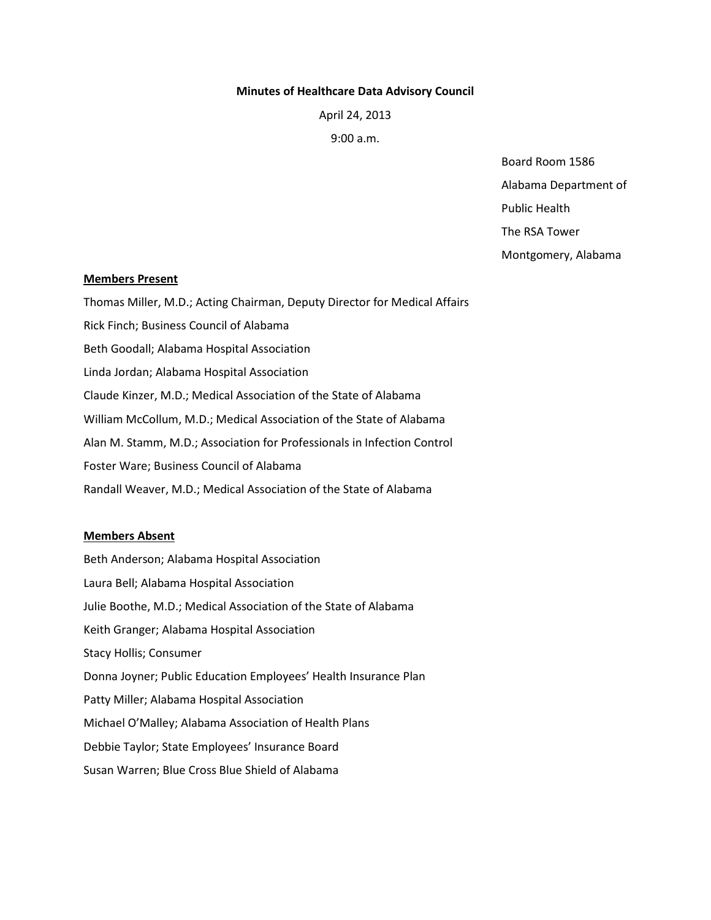#### Minutes of Healthcare Data Advisory Council

April 24, 2013

9:00 a.m.

Board Room 1586 Alabama Department of Public Health The RSA Tower

Montgomery, Alabama

### Members Present

Thomas Miller, M.D.; Acting Chairman, Deputy Director for Medical Affairs Rick Finch; Business Council of Alabama Beth Goodall; Alabama Hospital Association Linda Jordan; Alabama Hospital Association Claude Kinzer, M.D.; Medical Association of the State of Alabama William McCollum, M.D.; Medical Association of the State of Alabama Alan M. Stamm, M.D.; Association for Professionals in Infection Control Foster Ware; Business Council of Alabama Randall Weaver, M.D.; Medical Association of the State of Alabama

## Members Absent

Beth Anderson; Alabama Hospital Association Laura Bell; Alabama Hospital Association Julie Boothe, M.D.; Medical Association of the State of Alabama Keith Granger; Alabama Hospital Association Stacy Hollis; Consumer Donna Joyner; Public Education Employees' Health Insurance Plan Patty Miller; Alabama Hospital Association Michael O'Malley; Alabama Association of Health Plans Debbie Taylor; State Employees' Insurance Board Susan Warren; Blue Cross Blue Shield of Alabama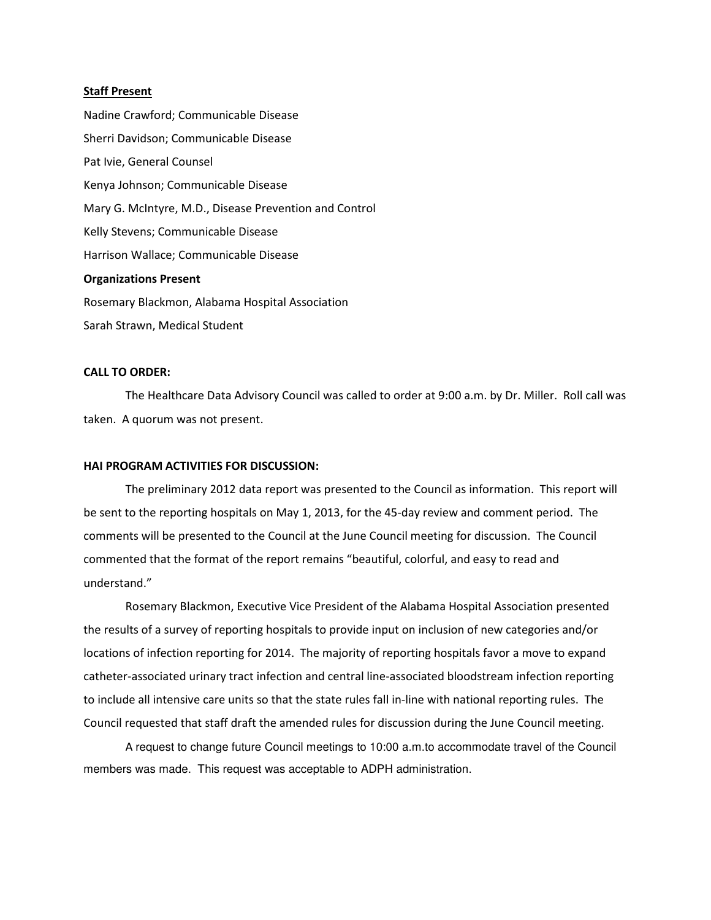#### **Staff Present**

Nadine Crawford; Communicable Disease Sherri Davidson; Communicable Disease Pat Ivie, General Counsel Kenya Johnson; Communicable Disease Mary G. McIntyre, M.D., Disease Prevention and Control Kelly Stevens; Communicable Disease Harrison Wallace; Communicable Disease Organizations Present Rosemary Blackmon, Alabama Hospital Association Sarah Strawn, Medical Student

# CALL TO ORDER:

 The Healthcare Data Advisory Council was called to order at 9:00 a.m. by Dr. Miller. Roll call was taken. A quorum was not present.

### HAI PROGRAM ACTIVITIES FOR DISCUSSION:

The preliminary 2012 data report was presented to the Council as information. This report will be sent to the reporting hospitals on May 1, 2013, for the 45-day review and comment period. The comments will be presented to the Council at the June Council meeting for discussion. The Council commented that the format of the report remains "beautiful, colorful, and easy to read and understand."

 Rosemary Blackmon, Executive Vice President of the Alabama Hospital Association presented the results of a survey of reporting hospitals to provide input on inclusion of new categories and/or locations of infection reporting for 2014. The majority of reporting hospitals favor a move to expand catheter-associated urinary tract infection and central line-associated bloodstream infection reporting to include all intensive care units so that the state rules fall in-line with national reporting rules. The Council requested that staff draft the amended rules for discussion during the June Council meeting.

 A request to change future Council meetings to 10:00 a.m.to accommodate travel of the Council members was made. This request was acceptable to ADPH administration.